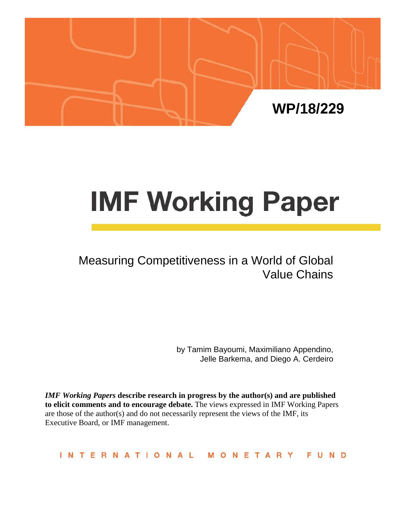

# **IMF Working Paper**

# Measuring Competitiveness in a World of Global Value Chains

by Tamim Bayoumi, Maximiliano Appendino, Jelle Barkema, and Diego A. Cerdeiro

*IMF Working Papers* **describe research in progress by the author(s) and are published to elicit comments and to encourage debate.** The views expressed in IMF Working Papers are those of the author(s) and do not necessarily represent the views of the IMF, its Executive Board, or IMF management.

**INTERNATIONAL** MONETARY FUND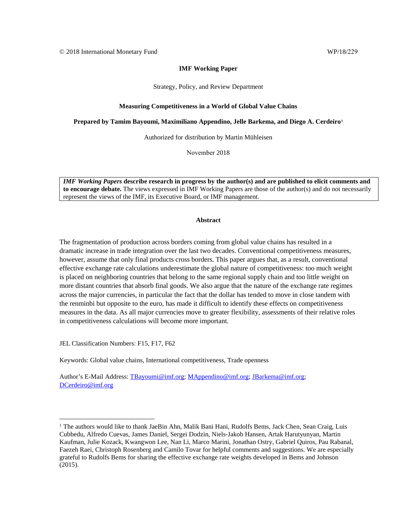#### **IMF Working Paper**

Strategy, Policy, and Review Department

#### **Measuring Competitiveness in a World of Global Value Chains**

**Prepared by Tamim Bayoumi, Maximiliano Appendino, Jelle Barkema, and Diego A. Cerdeiro[1](#page-1-0)**

Authorized for distribution by Martin Mühleisen

November 2018

*IMF Working Papers* **describe research in progress by the author(s) and are published to elicit comments and to encourage debate.** The views expressed in IMF Working Papers are those of the author(s) and do not necessarily represent the views of the IMF, its Executive Board, or IMF management.

#### **Abstract**

The fragmentation of production across borders coming from global value chains has resulted in a dramatic increase in trade integration over the last two decades. Conventional competitiveness measures, however, assume that only final products cross borders. This paper argues that, as a result, conventional effective exchange rate calculations underestimate the global nature of competitiveness: too much weight is placed on neighboring countries that belong to the same regional supply chain and too little weight on more distant countries that absorb final goods. We also argue that the nature of the exchange rate regimes across the major currencies, in particular the fact that the dollar has tended to move in close tandem with the renminbi but opposite to the euro, has made it difficult to identify these effects on competitiveness measures in the data. As all major currencies move to greater flexibility, assessments of their relative roles in competitiveness calculations will become more important.

JEL Classification Numbers: F15, F17, F62

Keywords: Global value chains, International competitiveness, Trade openness

Author's E-Mail Address: [TBayoumi@imf.org;](mailto:TBayoumi@imf.org) [MAppendino@imf.org;](mailto:MAppendino@imf.org) [JBarkema@imf.org;](mailto:JBarkema@imf.org) [DCerdeiro@imf.org](mailto:DCerdeiro@imf.org)

<span id="page-1-0"></span> $1$  The authors would like to thank JaeBin Ahn, Malik Bani Hani, Rudolfs Bems, Jack Chen, Sean Craig, Luis Cubbedu, Alfredo Cuevas, James Daniel, Sergei Dodzin, Niels-Jakob Hansen, Artak Harutyunyan, Martin Kaufman, Julie Kozack, Kwangwon Lee, Nan Li, Marco Marini, Jonathan Ostry, Gabriel Quiros, Pau Rabanal, Faezeh Raei, Christoph Rosenberg and Camilo Tovar for helpful comments and suggestions. We are especially grateful to Rudolfs Bems for sharing the effective exchange rate weights developed in Bems and Johnson (2015).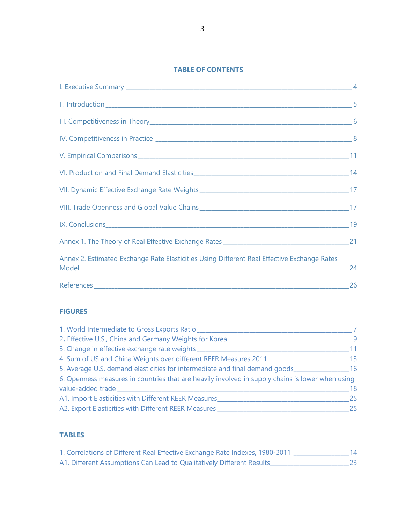#### **TABLE OF CONTENTS**

| Annex 2. Estimated Exchange Rate Elasticities Using Different Real Effective Exchange Rates |  |
|---------------------------------------------------------------------------------------------|--|
|                                                                                             |  |

#### **FIGURES**

| 1. World Intermediate to Gross Exports Ratio_                                                    |     |
|--------------------------------------------------------------------------------------------------|-----|
| 2. Effective U.S., China and Germany Weights for Korea                                           | - 9 |
| 3. Change in effective exchange rate weights                                                     | 11  |
| 4. Sum of US and China Weights over different REER Measures 2011                                 | 13  |
| 5. Average U.S. demand elasticities for intermediate and final demand goods                      | -16 |
| 6. Openness measures in countries that are heavily involved in supply chains is lower when using |     |
| value-added trade                                                                                | 18  |
| A1. Import Elasticities with Different REER Measures                                             | 25  |
| A2. Export Elasticities with Different REER Measures                                             | 25  |

# **TABLES**

| 1. Correlations of Different Real Effective Exchange Rate Indexes, 1980-2011 |     |
|------------------------------------------------------------------------------|-----|
| A1. Different Assumptions Can Lead to Qualitatively Different Results        | 23. |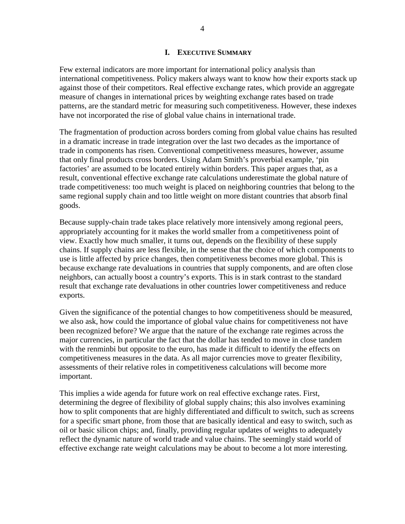#### **I. EXECUTIVE SUMMARY**

Few external indicators are more important for international policy analysis than international competitiveness. Policy makers always want to know how their exports stack up against those of their competitors. Real effective exchange rates, which provide an aggregate measure of changes in international prices by weighting exchange rates based on trade patterns, are the standard metric for measuring such competitiveness. However, these indexes have not incorporated the rise of global value chains in international trade.

The fragmentation of production across borders coming from global value chains has resulted in a dramatic increase in trade integration over the last two decades as the importance of trade in components has risen. Conventional competitiveness measures, however, assume that only final products cross borders. Using Adam Smith's proverbial example, 'pin factories' are assumed to be located entirely within borders. This paper argues that, as a result, conventional effective exchange rate calculations underestimate the global nature of trade competitiveness: too much weight is placed on neighboring countries that belong to the same regional supply chain and too little weight on more distant countries that absorb final goods.

Because supply-chain trade takes place relatively more intensively among regional peers, appropriately accounting for it makes the world smaller from a competitiveness point of view. Exactly how much smaller, it turns out, depends on the flexibility of these supply chains. If supply chains are less flexible, in the sense that the choice of which components to use is little affected by price changes, then competitiveness becomes more global. This is because exchange rate devaluations in countries that supply components, and are often close neighbors, can actually boost a country's exports. This is in stark contrast to the standard result that exchange rate devaluations in other countries lower competitiveness and reduce exports.

Given the significance of the potential changes to how competitiveness should be measured, we also ask, how could the importance of global value chains for competitiveness not have been recognized before? We argue that the nature of the exchange rate regimes across the major currencies, in particular the fact that the dollar has tended to move in close tandem with the renminbi but opposite to the euro, has made it difficult to identify the effects on competitiveness measures in the data. As all major currencies move to greater flexibility, assessments of their relative roles in competitiveness calculations will become more important.

This implies a wide agenda for future work on real effective exchange rates. First, determining the degree of flexibility of global supply chains; this also involves examining how to split components that are highly differentiated and difficult to switch, such as screens for a specific smart phone, from those that are basically identical and easy to switch, such as oil or basic silicon chips; and, finally, providing regular updates of weights to adequately reflect the dynamic nature of world trade and value chains. The seemingly staid world of effective exchange rate weight calculations may be about to become a lot more interesting.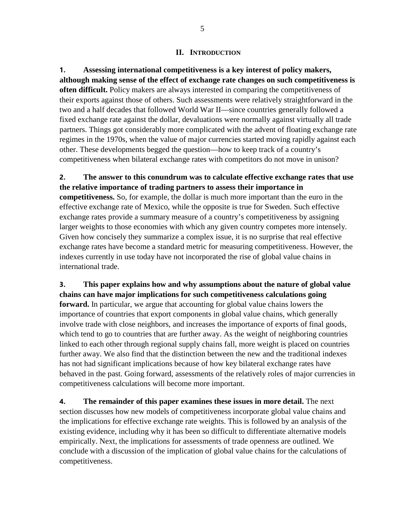#### **II. INTRODUCTION**

**1. Assessing international competitiveness is a key interest of policy makers, although making sense of the effect of exchange rate changes on such competitiveness is often difficult.** Policy makers are always interested in comparing the competitiveness of their exports against those of others. Such assessments were relatively straightforward in the two and a half decades that followed World War II—since countries generally followed a fixed exchange rate against the dollar, devaluations were normally against virtually all trade partners. Things got considerably more complicated with the advent of floating exchange rate regimes in the 1970s, when the value of major currencies started moving rapidly against each other. These developments begged the question—how to keep track of a country's competitiveness when bilateral exchange rates with competitors do not move in unison?

**2. The answer to this conundrum was to calculate effective exchange rates that use the relative importance of trading partners to assess their importance in competitiveness.** So, for example, the dollar is much more important than the euro in the effective exchange rate of Mexico, while the opposite is true for Sweden. Such effective exchange rates provide a summary measure of a country's competitiveness by assigning larger weights to those economies with which any given country competes more intensely. Given how concisely they summarize a complex issue, it is no surprise that real effective exchange rates have become a standard metric for measuring competitiveness. However, the indexes currently in use today have not incorporated the rise of global value chains in international trade.

**3. This paper explains how and why assumptions about the nature of global value chains can have major implications for such competitiveness calculations going forward.** In particular, we argue that accounting for global value chains lowers the importance of countries that export components in global value chains, which generally involve trade with close neighbors, and increases the importance of exports of final goods, which tend to go to countries that are further away. As the weight of neighboring countries linked to each other through regional supply chains fall, more weight is placed on countries further away. We also find that the distinction between the new and the traditional indexes has not had significant implications because of how key bilateral exchange rates have behaved in the past. Going forward, assessments of the relatively roles of major currencies in competitiveness calculations will become more important.

**4. The remainder of this paper examines these issues in more detail.** The next section discusses how new models of competitiveness incorporate global value chains and the implications for effective exchange rate weights. This is followed by an analysis of the existing evidence, including why it has been so difficult to differentiate alternative models empirically. Next, the implications for assessments of trade openness are outlined. We conclude with a discussion of the implication of global value chains for the calculations of competitiveness.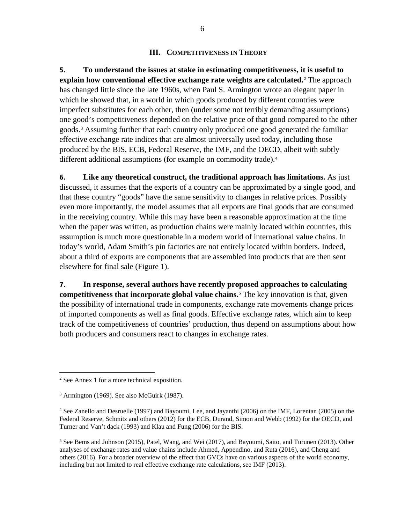#### **III. COMPETITIVENESS IN THEORY**

**5. To understand the issues at stake in estimating competitiveness, it is useful to explain how conventional effective exchange rate weights are calculated.[2](#page-5-0)** The approach has changed little since the late 1960s, when Paul S. Armington wrote an elegant paper in which he showed that, in a world in which goods produced by different countries were imperfect substitutes for each other, then (under some not terribly demanding assumptions) one good's competitiveness depended on the relative price of that good compared to the other goods.[3](#page-5-1) Assuming further that each country only produced one good generated the familiar effective exchange rate indices that are almost universally used today, including those produced by the BIS, ECB, Federal Reserve, the IMF, and the OECD, albeit with subtly different additional assumptions (for example on commodity trade).<sup>[4](#page-5-2)</sup>

**6. Like any theoretical construct, the traditional approach has limitations.** As just discussed, it assumes that the exports of a country can be approximated by a single good, and that these country "goods" have the same sensitivity to changes in relative prices. Possibly even more importantly, the model assumes that all exports are final goods that are consumed in the receiving country. While this may have been a reasonable approximation at the time when the paper was written, as production chains were mainly located within countries, this assumption is much more questionable in a modern world of international value chains. In today's world, Adam Smith's pin factories are not entirely located within borders. Indeed, about a third of exports are components that are assembled into products that are then sent elsewhere for final sale (Figure 1).

**7. In response, several authors have recently proposed approaches to calculating competitiveness that incorporate global value chains.[5](#page-5-3)** The key innovation is that, given the possibility of international trade in components, exchange rate movements change prices of imported components as well as final goods. Effective exchange rates, which aim to keep track of the competitiveness of countries' production, thus depend on assumptions about how both producers and consumers react to changes in exchange rates.

<span id="page-5-0"></span> <sup>2</sup> See Annex 1 for a more technical exposition.

<span id="page-5-1"></span> $3$  Armington (1969). See also McGuirk (1987).

<span id="page-5-2"></span><sup>4</sup> See Zanello and Desruelle (1997) and Bayoumi, Lee, and Jayanthi (2006) on the IMF, Lorentan (2005) on the Federal Reserve, Schmitz and others (2012) for the ECB, Durand, Simon and Webb (1992) for the OECD, and Turner and Van't dack (1993) and Klau and Fung (2006) for the BIS.

<span id="page-5-3"></span> $5$  See Bems and Johnson (2015), Patel, Wang, and Wei (2017), and Bayoumi, Saito, and Turunen (2013). Other analyses of exchange rates and value chains include Ahmed, Appendino, and Ruta (2016), and Cheng and others (2016). For a broader overview of the effect that GVCs have on various aspects of the world economy, including but not limited to real effective exchange rate calculations, see IMF (2013).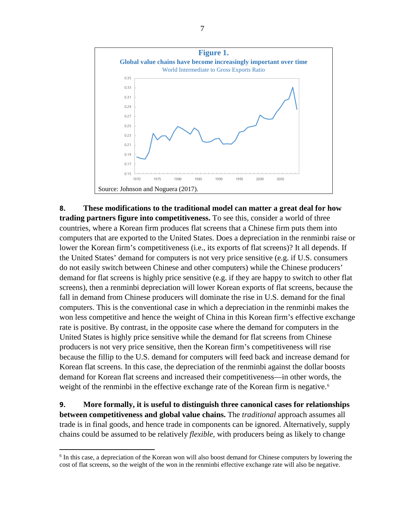

**8. These modifications to the traditional model can matter a great deal for how trading partners figure into competitiveness.** To see this, consider a world of three countries, where a Korean firm produces flat screens that a Chinese firm puts them into computers that are exported to the United States. Does a depreciation in the renminbi raise or lower the Korean firm's competitiveness (i.e., its exports of flat screens)? It all depends. If the United States' demand for computers is not very price sensitive (e.g. if U.S. consumers do not easily switch between Chinese and other computers) while the Chinese producers' demand for flat screens is highly price sensitive (e.g. if they are happy to switch to other flat screens), then a renminbi depreciation will lower Korean exports of flat screens, because the fall in demand from Chinese producers will dominate the rise in U.S. demand for the final computers. This is the conventional case in which a depreciation in the renminbi makes the won less competitive and hence the weight of China in this Korean firm's effective exchange rate is positive. By contrast, in the opposite case where the demand for computers in the United States is highly price sensitive while the demand for flat screens from Chinese producers is not very price sensitive, then the Korean firm's competitiveness will rise because the fillip to the U.S. demand for computers will feed back and increase demand for Korean flat screens. In this case, the depreciation of the renminbi against the dollar boosts demand for Korean flat screens and increased their competitiveness—in other words, the weight of the renminbi in the effective exchange rate of the Korean firm is negative.<sup>[6](#page-6-0)</sup>

**9. More formally, it is useful to distinguish three canonical cases for relationships between competitiveness and global value chains.** The *traditional* approach assumes all trade is in final goods, and hence trade in components can be ignored. Alternatively, supply chains could be assumed to be relatively *flexible,* with producers being as likely to change

<span id="page-6-0"></span> <sup>6</sup> In this case, a depreciation of the Korean won will also boost demand for Chinese computers by lowering the cost of flat screens, so the weight of the won in the renminbi effective exchange rate will also be negative.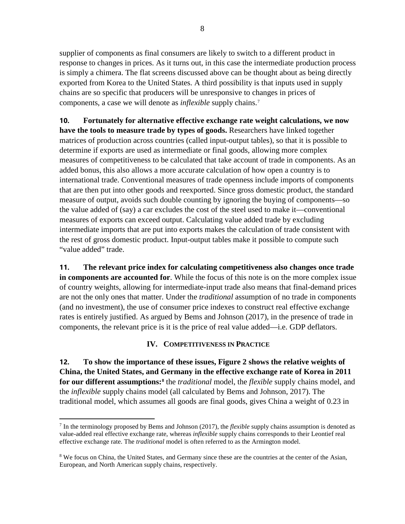supplier of components as final consumers are likely to switch to a different product in response to changes in prices. As it turns out, in this case the intermediate production process is simply a chimera. The flat screens discussed above can be thought about as being directly exported from Korea to the United States. A third possibility is that inputs used in supply chains are so specific that producers will be unresponsive to changes in prices of components, a case we will denote as *inflexible* supply chains.[7](#page-7-0)

**10. Fortunately for alternative effective exchange rate weight calculations, we now have the tools to measure trade by types of goods.** Researchers have linked together matrices of production across countries (called input-output tables), so that it is possible to determine if exports are used as intermediate or final goods, allowing more complex measures of competitiveness to be calculated that take account of trade in components. As an added bonus, this also allows a more accurate calculation of how open a country is to international trade. Conventional measures of trade openness include imports of components that are then put into other goods and reexported. Since gross domestic product, the standard measure of output, avoids such double counting by ignoring the buying of components—so the value added of (say) a car excludes the cost of the steel used to make it—conventional measures of exports can exceed output. Calculating value added trade by excluding intermediate imports that are put into exports makes the calculation of trade consistent with the rest of gross domestic product. Input-output tables make it possible to compute such "value added" trade.

**11. The relevant price index for calculating competitiveness also changes once trade in components are accounted for**. While the focus of this note is on the more complex issue of country weights, allowing for intermediate-input trade also means that final-demand prices are not the only ones that matter. Under the *traditional* assumption of no trade in components (and no investment), the use of consumer price indexes to construct real effective exchange rates is entirely justified. As argued by Bems and Johnson (2017), in the presence of trade in components, the relevant price is it is the price of real value added—i.e. GDP deflators.

#### **IV. COMPETITIVENESS IN PRACTICE**

**12. To show the importance of these issues, Figure 2 shows the relative weights of China, the United States, and Germany in the effective exchange rate of Korea in 2011 for our different assumptions:[8](#page-7-1)** the *traditional* model, the *flexible* supply chains model, and the *inflexible* supply chains model (all calculated by Bems and Johnson, 2017). The traditional model, which assumes all goods are final goods, gives China a weight of 0.23 in

<span id="page-7-0"></span> <sup>7</sup> In the terminology proposed by Bems and Johnson (2017), the *flexible* supply chains assumption is denoted as value-added real effective exchange rate, whereas *inflexible* supply chains corresponds to their Leontief real effective exchange rate. The *traditional* model is often referred to as the Armington model.

<span id="page-7-1"></span><sup>&</sup>lt;sup>8</sup> We focus on China, the United States, and Germany since these are the countries at the center of the Asian, European, and North American supply chains, respectively.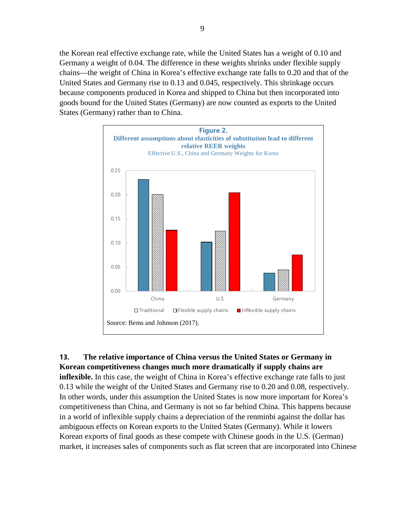the Korean real effective exchange rate, while the United States has a weight of 0.10 and Germany a weight of 0.04. The difference in these weights shrinks under flexible supply chains—the weight of China in Korea's effective exchange rate falls to 0.20 and that of the United States and Germany rise to 0.13 and 0.045, respectively. This shrinkage occurs because components produced in Korea and shipped to China but then incorporated into goods bound for the United States (Germany) are now counted as exports to the United States (Germany) rather than to China.



#### **13. The relative importance of China versus the United States or Germany in Korean competitiveness changes much more dramatically if supply chains are**

**inflexible.** In this case, the weight of China in Korea's effective exchange rate falls to just 0.13 while the weight of the United States and Germany rise to 0.20 and 0.08, respectively. In other words, under this assumption the United States is now more important for Korea's competitiveness than China, and Germany is not so far behind China. This happens because in a world of inflexible supply chains a depreciation of the renminbi against the dollar has ambiguous effects on Korean exports to the United States (Germany). While it lowers Korean exports of final goods as these compete with Chinese goods in the U.S. (German) market, it increases sales of components such as flat screen that are incorporated into Chinese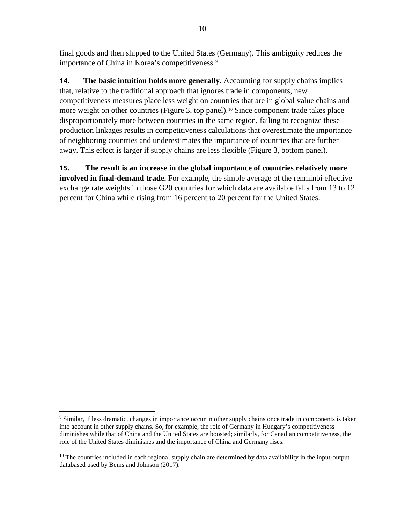final goods and then shipped to the United States (Germany). This ambiguity reduces the importance of China in Korea's competitiveness.<sup>[9](#page-9-0)</sup>

**14. The basic intuition holds more generally.** Accounting for supply chains implies that, relative to the traditional approach that ignores trade in components, new competitiveness measures place less weight on countries that are in global value chains and more weight on other countries (Figure 3, top panel).<sup>[10](#page-9-1)</sup> Since component trade takes place disproportionately more between countries in the same region, failing to recognize these production linkages results in competitiveness calculations that overestimate the importance of neighboring countries and underestimates the importance of countries that are further away. This effect is larger if supply chains are less flexible (Figure 3, bottom panel).

**15. The result is an increase in the global importance of countries relatively more involved in final-demand trade.** For example, the simple average of the renminbi effective exchange rate weights in those G20 countries for which data are available falls from 13 to 12 percent for China while rising from 16 percent to 20 percent for the United States.

<span id="page-9-0"></span> <sup>9</sup> Similar, if less dramatic, changes in importance occur in other supply chains once trade in components is taken into account in other supply chains. So, for example, the role of Germany in Hungary's competitiveness diminishes while that of China and the United States are boosted; similarly, for Canadian competitiveness, the role of the United States diminishes and the importance of China and Germany rises.

<span id="page-9-1"></span> $10$  The countries included in each regional supply chain are determined by data availability in the input-output databased used by Bems and Johnson (2017).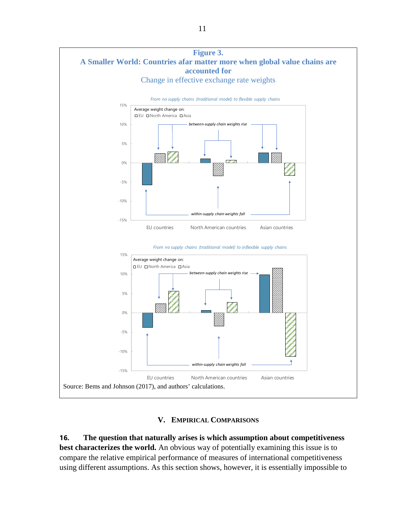

#### **V. EMPIRICAL COMPARISONS**

**16. The question that naturally arises is which assumption about competitiveness best characterizes the world.** An obvious way of potentially examining this issue is to compare the relative empirical performance of measures of international competitiveness using different assumptions. As this section shows, however, it is essentially impossible to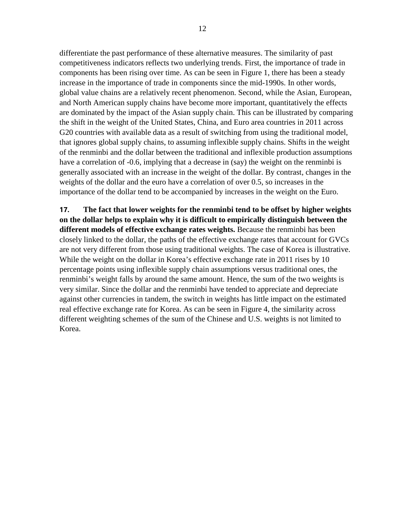differentiate the past performance of these alternative measures. The similarity of past competitiveness indicators reflects two underlying trends. First, the importance of trade in components has been rising over time. As can be seen in Figure 1, there has been a steady increase in the importance of trade in components since the mid-1990s. In other words, global value chains are a relatively recent phenomenon. Second, while the Asian, European, and North American supply chains have become more important, quantitatively the effects are dominated by the impact of the Asian supply chain. This can be illustrated by comparing the shift in the weight of the United States, China, and Euro area countries in 2011 across G20 countries with available data as a result of switching from using the traditional model, that ignores global supply chains, to assuming inflexible supply chains. Shifts in the weight of the renminbi and the dollar between the traditional and inflexible production assumptions have a correlation of -0.6, implying that a decrease in (say) the weight on the renminbi is generally associated with an increase in the weight of the dollar. By contrast, changes in the weights of the dollar and the euro have a correlation of over 0.5, so increases in the importance of the dollar tend to be accompanied by increases in the weight on the Euro.

**17. The fact that lower weights for the renminbi tend to be offset by higher weights on the dollar helps to explain why it is difficult to empirically distinguish between the different models of effective exchange rates weights.** Because the renminbi has been closely linked to the dollar, the paths of the effective exchange rates that account for GVCs are not very different from those using traditional weights. The case of Korea is illustrative. While the weight on the dollar in Korea's effective exchange rate in 2011 rises by 10 percentage points using inflexible supply chain assumptions versus traditional ones, the renminbi's weight falls by around the same amount. Hence, the sum of the two weights is very similar. Since the dollar and the renminbi have tended to appreciate and depreciate against other currencies in tandem, the switch in weights has little impact on the estimated real effective exchange rate for Korea. As can be seen in Figure 4, the similarity across different weighting schemes of the sum of the Chinese and U.S. weights is not limited to Korea.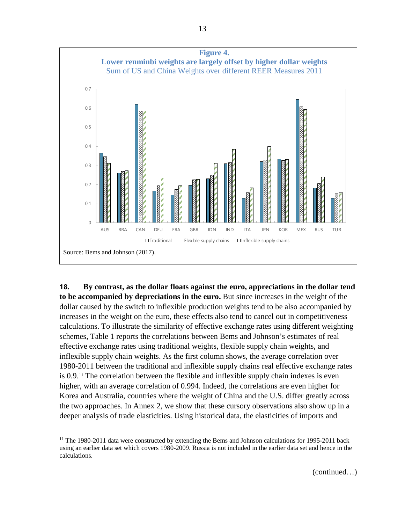

**18. By contrast, as the dollar floats against the euro, appreciations in the dollar tend to be accompanied by depreciations in the euro.** But since increases in the weight of the dollar caused by the switch to inflexible production weights tend to be also accompanied by increases in the weight on the euro, these effects also tend to cancel out in competitiveness calculations. To illustrate the similarity of effective exchange rates using different weighting schemes, Table 1 reports the correlations between Bems and Johnson's estimates of real effective exchange rates using traditional weights, flexible supply chain weights, and inflexible supply chain weights. As the first column shows, the average correlation over 1980-2011 between the traditional and inflexible supply chains real effective exchange rates is 0.9.[11](#page-12-0) The correlation between the flexible and inflexible supply chain indexes is even higher, with an average correlation of 0.994. Indeed, the correlations are even higher for Korea and Australia, countries where the weight of China and the U.S. differ greatly across the two approaches. In Annex 2, we show that these cursory observations also show up in a deeper analysis of trade elasticities. Using historical data, the elasticities of imports and

<span id="page-12-0"></span><sup>&</sup>lt;sup>11</sup> The 1980-2011 data were constructed by extending the Bems and Johnson calculations for 1995-2011 back using an earlier data set which covers 1980-2009. Russia is not included in the earlier data set and hence in the calculations.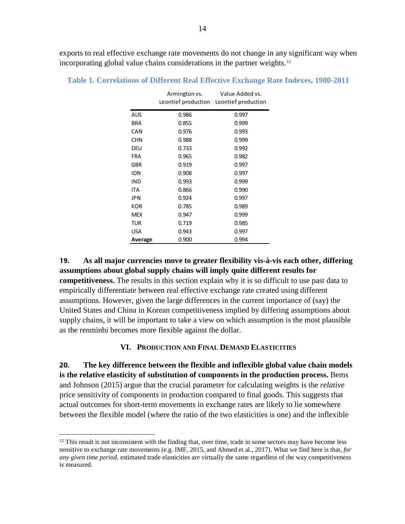exports to real effective exchange rate movements do not change in any significant way when incorporating global value chains considerations in the partner weights.<sup>[12](#page-13-0)</sup>

|            | Armington vs. | Value Added vs.<br>Leontief production Leontief production |
|------------|---------------|------------------------------------------------------------|
| AUS        | 0.986         | 0.997                                                      |
| BRA        | 0.855         | 0.999                                                      |
| CAN        | 0.976         | 0.993                                                      |
| <b>CHN</b> | 0.988         | 0.999                                                      |
| DEU        | 0.733         | 0.992                                                      |
| <b>FRA</b> | 0.965         | 0.982                                                      |
| <b>GBR</b> | 0.919         | 0.997                                                      |
| IDN        | 0.908         | 0.997                                                      |
| IND        | 0.993         | 0.999                                                      |
| ITA        | 0.866         | 0.990                                                      |
| JPN        | 0.924         | 0.997                                                      |
| KOR        | 0.785         | 0.989                                                      |
| MEX        | 0.947         | 0.999                                                      |
| tur        | 0.719         | 0.985                                                      |
| USA        | 0.943         | 0.997                                                      |
| Average    | 0.900         | 0.994                                                      |

**Table 1. Correlations of Different Real Effective Exchange Rate Indexes, 1980-2011**

**19. As all major currencies move to greater flexibility vis-à-vis each other, differing assumptions about global supply chains will imply quite different results for competitiveness.** The results in this section explain why it is so difficult to use past data to empirically differentiate between real effective exchange rate created using different assumptions. However, given the large differences in the current importance of (say) the United States and China in Korean competitiveness implied by differing assumptions about supply chains, it will be important to take a view on which assumption is the most plausible as the renminbi becomes more flexible against the dollar.

#### **VI. PRODUCTION AND FINAL DEMAND ELASTICITIES**

**20. The key difference between the flexible and inflexible global value chain models is the relative elasticity of substitution of components in the production process.** Bems and Johnson (2015) argue that the crucial parameter for calculating weights is the *relative* price sensitivity of components in production compared to final goods. This suggests that actual outcomes for short-term movements in exchange rates are likely to lie somewhere between the flexible model (where the ratio of the two elasticities is one) and the inflexible

<span id="page-13-0"></span> $12$  This result is not inconsistent with the finding that, over time, trade in some sectors may have become less sensitive to exchange rate movements (e.g. IMF, 2015, and Ahmed et al., 2017). What we find here is that, *for any given time period*, estimated trade elasticities are virtually the same regardless of the way competitiveness is measured.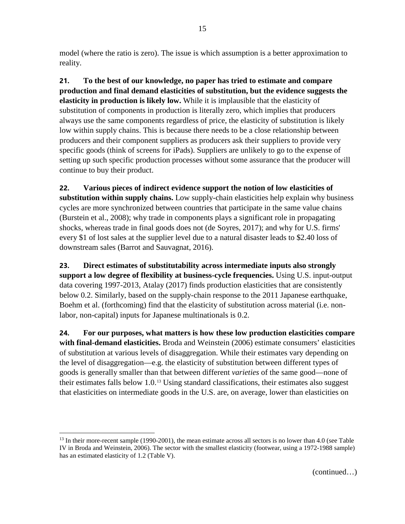model (where the ratio is zero). The issue is which assumption is a better approximation to reality.

**21. To the best of our knowledge, no paper has tried to estimate and compare production and final demand elasticities of substitution, but the evidence suggests the elasticity in production is likely low.** While it is implausible that the elasticity of substitution of components in production is literally zero, which implies that producers always use the same components regardless of price, the elasticity of substitution is likely low within supply chains. This is because there needs to be a close relationship between producers and their component suppliers as producers ask their suppliers to provide very specific goods (think of screens for iPads). Suppliers are unlikely to go to the expense of setting up such specific production processes without some assurance that the producer will continue to buy their product.

**22. Various pieces of indirect evidence support the notion of low elasticities of substitution within supply chains.** Low supply-chain elasticities help explain why business cycles are more synchronized between countries that participate in the same value chains (Burstein et al., 2008); why trade in components plays a significant role in propagating shocks, whereas trade in final goods does not (de Soyres, 2017); and why for U.S. firms' every \$1 of lost sales at the supplier level due to a natural disaster leads to \$2.40 loss of downstream sales (Barrot and Sauvagnat, 2016).

**23. Direct estimates of substitutability across intermediate inputs also strongly support a low degree of flexibility at business-cycle frequencies.** Using U.S. input-output data covering 1997-2013, Atalay (2017) finds production elasticities that are consistently below 0.2. Similarly, based on the supply-chain response to the 2011 Japanese earthquake, Boehm et al. (forthcoming) find that the elasticity of substitution across material (i.e. nonlabor, non-capital) inputs for Japanese multinationals is 0.2.

**24. For our purposes, what matters is how these low production elasticities compare with final-demand elasticities.** Broda and Weinstein (2006) estimate consumers' elasticities of substitution at various levels of disaggregation. While their estimates vary depending on the level of disaggregation—e.g. the elasticity of substitution between different types of goods is generally smaller than that between different *varieties* of the same good—none of their estimates falls below 1.0.[13](#page-14-0) Using standard classifications, their estimates also suggest that elasticities on intermediate goods in the U.S. are, on average, lower than elasticities on

<span id="page-14-0"></span> $13$  In their more-recent sample (1990-2001), the mean estimate across all sectors is no lower than 4.0 (see Table IV in Broda and Weinstein, 2006). The sector with the smallest elasticity (footwear, using a 1972-1988 sample) has an estimated elasticity of 1.2 (Table V).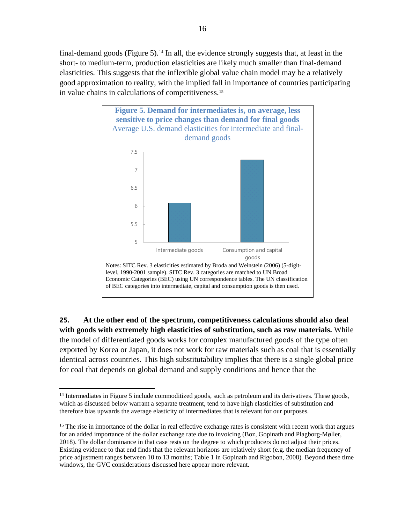final-demand goods (Figure 5).<sup>[14](#page-15-0)</sup> In all, the evidence strongly suggests that, at least in the short- to medium-term, production elasticities are likely much smaller than final-demand elasticities. This suggests that the inflexible global value chain model may be a relatively good approximation to reality, with the implied fall in importance of countries participating in value chains in calculations of competitiveness.[15](#page-15-1)



**25. At the other end of the spectrum, competitiveness calculations should also deal with goods with extremely high elasticities of substitution, such as raw materials.** While the model of differentiated goods works for complex manufactured goods of the type often exported by Korea or Japan, it does not work for raw materials such as coal that is essentially identical across countries. This high substitutability implies that there is a single global price for coal that depends on global demand and supply conditions and hence that the

<span id="page-15-0"></span><sup>&</sup>lt;sup>14</sup> Intermediates in Figure 5 include commoditized goods, such as petroleum and its derivatives. These goods, which as discussed below warrant a separate treatment, tend to have high elasticities of substitution and therefore bias upwards the average elasticity of intermediates that is relevant for our purposes.

<span id="page-15-1"></span><sup>&</sup>lt;sup>15</sup> The rise in importance of the dollar in real effective exchange rates is consistent with recent work that argues for an added importance of the dollar exchange rate due to invoicing (Boz, Gopinath and Plagborg-Møller, 2018). The dollar dominance in that case rests on the degree to which producers do not adjust their prices. Existing evidence to that end finds that the relevant horizons are relatively short (e.g. the median frequency of price adjustment ranges between 10 to 13 months; Table 1 in Gopinath and Rigobon, 2008). Beyond these time windows, the GVC considerations discussed here appear more relevant.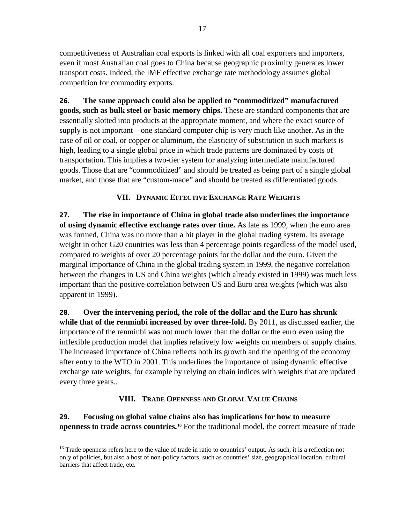competitiveness of Australian coal exports is linked with all coal exporters and importers, even if most Australian coal goes to China because geographic proximity generates lower transport costs. Indeed, the IMF effective exchange rate methodology assumes global competition for commodity exports.

**26. The same approach could also be applied to "commoditized" manufactured goods, such as bulk steel or basic memory chips.** These are standard components that are essentially slotted into products at the appropriate moment, and where the exact source of supply is not important—one standard computer chip is very much like another. As in the case of oil or coal, or copper or aluminum, the elasticity of substitution in such markets is high, leading to a single global price in which trade patterns are dominated by costs of transportation. This implies a two-tier system for analyzing intermediate manufactured goods. Those that are "commoditized" and should be treated as being part of a single global market, and those that are "custom-made" and should be treated as differentiated goods.

#### **VII. DYNAMIC EFFECTIVE EXCHANGE RATE WEIGHTS**

**27. The rise in importance of China in global trade also underlines the importance of using dynamic effective exchange rates over time.** As late as 1999, when the euro area was formed, China was no more than a bit player in the global trading system. Its average weight in other G20 countries was less than 4 percentage points regardless of the model used, compared to weights of over 20 percentage points for the dollar and the euro. Given the marginal importance of China in the global trading system in 1999, the negative correlation between the changes in US and China weights (which already existed in 1999) was much less important than the positive correlation between US and Euro area weights (which was also apparent in 1999).

**28. Over the intervening period, the role of the dollar and the Euro has shrunk while that of the renminbi increased by over three-fold.** By 2011, as discussed earlier, the importance of the renminbi was not much lower than the dollar or the euro even using the inflexible production model that implies relatively low weights on members of supply chains. The increased importance of China reflects both its growth and the opening of the economy after entry to the WTO in 2001. This underlines the importance of using dynamic effective exchange rate weights, for example by relying on chain indices with weights that are updated every three years..

### **VIII. TRADE OPENNESS AND GLOBAL VALUE CHAINS**

**29. Focusing on global value chains also has implications for how to measure openness to trade across countries.[16](#page-16-0)** For the traditional model, the correct measure of trade

<span id="page-16-0"></span><sup>&</sup>lt;sup>16</sup> Trade openness refers here to the value of trade in ratio to countries' output. As such, it is a reflection not only of policies, but also a host of non-policy factors, such as countries' size, geographical location, cultural barriers that affect trade, etc.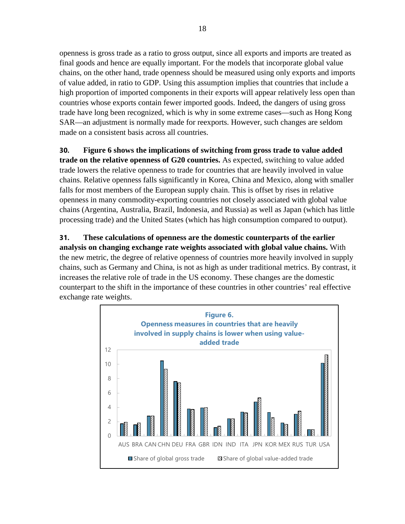openness is gross trade as a ratio to gross output, since all exports and imports are treated as final goods and hence are equally important. For the models that incorporate global value chains, on the other hand, trade openness should be measured using only exports and imports of value added, in ratio to GDP. Using this assumption implies that countries that include a high proportion of imported components in their exports will appear relatively less open than countries whose exports contain fewer imported goods. Indeed, the dangers of using gross trade have long been recognized, which is why in some extreme cases—such as Hong Kong SAR—an adjustment is normally made for reexports. However, such changes are seldom made on a consistent basis across all countries.

#### **30. Figure 6 shows the implications of switching from gross trade to value added**

**trade on the relative openness of G20 countries.** As expected, switching to value added trade lowers the relative openness to trade for countries that are heavily involved in value chains. Relative openness falls significantly in Korea, China and Mexico, along with smaller falls for most members of the European supply chain. This is offset by rises in relative openness in many commodity-exporting countries not closely associated with global value chains (Argentina, Australia, Brazil, Indonesia, and Russia) as well as Japan (which has little processing trade) and the United States (which has high consumption compared to output).

**31. These calculations of openness are the domestic counterparts of the earlier analysis on changing exchange rate weights associated with global value chains.** With the new metric, the degree of relative openness of countries more heavily involved in supply chains, such as Germany and China, is not as high as under traditional metrics. By contrast, it increases the relative role of trade in the US economy. These changes are the domestic counterpart to the shift in the importance of these countries in other countries' real effective exchange rate weights.

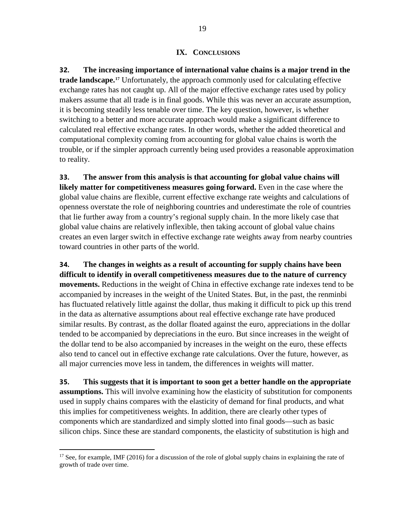**32. The increasing importance of international value chains is a major trend in the trade landscape.[17](#page-18-0)** Unfortunately, the approach commonly used for calculating effective exchange rates has not caught up. All of the major effective exchange rates used by policy makers assume that all trade is in final goods. While this was never an accurate assumption, it is becoming steadily less tenable over time. The key question, however, is whether switching to a better and more accurate approach would make a significant difference to calculated real effective exchange rates. In other words, whether the added theoretical and computational complexity coming from accounting for global value chains is worth the trouble, or if the simpler approach currently being used provides a reasonable approximation to reality.

**33. The answer from this analysis is that accounting for global value chains will likely matter for competitiveness measures going forward.** Even in the case where the global value chains are flexible, current effective exchange rate weights and calculations of openness overstate the role of neighboring countries and underestimate the role of countries that lie further away from a country's regional supply chain. In the more likely case that global value chains are relatively inflexible, then taking account of global value chains creates an even larger switch in effective exchange rate weights away from nearby countries toward countries in other parts of the world.

**34. The changes in weights as a result of accounting for supply chains have been difficult to identify in overall competitiveness measures due to the nature of currency movements.** Reductions in the weight of China in effective exchange rate indexes tend to be accompanied by increases in the weight of the United States. But, in the past, the renminbi has fluctuated relatively little against the dollar, thus making it difficult to pick up this trend in the data as alternative assumptions about real effective exchange rate have produced similar results. By contrast, as the dollar floated against the euro, appreciations in the dollar tended to be accompanied by depreciations in the euro. But since increases in the weight of the dollar tend to be also accompanied by increases in the weight on the euro, these effects also tend to cancel out in effective exchange rate calculations. Over the future, however, as all major currencies move less in tandem, the differences in weights will matter.

**35. This suggests that it is important to soon get a better handle on the appropriate assumptions.** This will involve examining how the elasticity of substitution for components used in supply chains compares with the elasticity of demand for final products, and what this implies for competitiveness weights. In addition, there are clearly other types of components which are standardized and simply slotted into final goods—such as basic silicon chips. Since these are standard components, the elasticity of substitution is high and

<span id="page-18-0"></span><sup>&</sup>lt;sup>17</sup> See, for example, IMF (2016) for a discussion of the role of global supply chains in explaining the rate of growth of trade over time.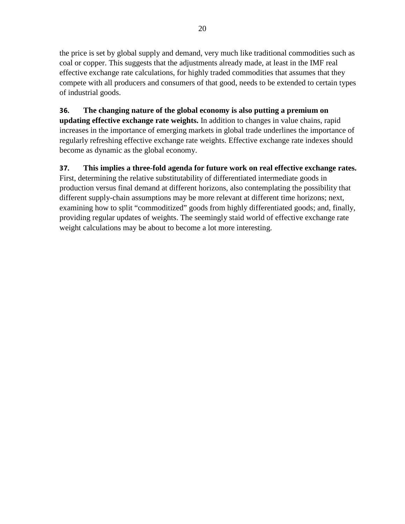the price is set by global supply and demand, very much like traditional commodities such as coal or copper. This suggests that the adjustments already made, at least in the IMF real effective exchange rate calculations, for highly traded commodities that assumes that they compete with all producers and consumers of that good, needs to be extended to certain types of industrial goods.

# **36. The changing nature of the global economy is also putting a premium on**

**updating effective exchange rate weights.** In addition to changes in value chains, rapid increases in the importance of emerging markets in global trade underlines the importance of regularly refreshing effective exchange rate weights. Effective exchange rate indexes should become as dynamic as the global economy.

# **37. This implies a three-fold agenda for future work on real effective exchange rates.**

First, determining the relative substitutability of differentiated intermediate goods in production versus final demand at different horizons, also contemplating the possibility that different supply-chain assumptions may be more relevant at different time horizons; next, examining how to split "commoditized" goods from highly differentiated goods; and, finally, providing regular updates of weights. The seemingly staid world of effective exchange rate weight calculations may be about to become a lot more interesting.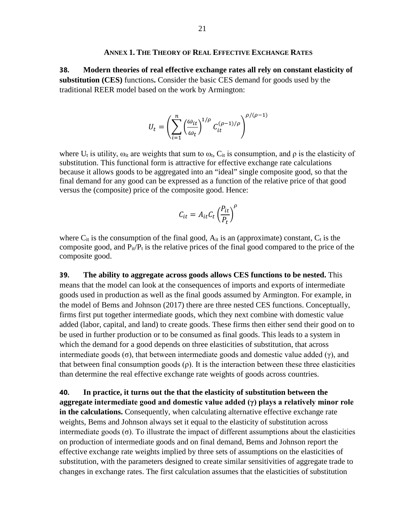#### **ANNEX 1. THE THEORY OF REAL EFFECTIVE EXCHANGE RATES**

**38. Modern theories of real effective exchange rates all rely on constant elasticity of substitution (CES)** functions**.** Consider the basic CES demand for goods used by the traditional REER model based on the work by Armington:

$$
U_t = \left(\sum_{i=1}^n \left(\frac{\omega_{it}}{\omega_t}\right)^{1/\rho} C_{it}^{(\rho-1)/\rho}\right)^{\rho/(\rho-1)}
$$

where U<sub>t</sub> is utility,  $\omega_{it}$  are weights that sum to  $\omega_{t}$ , C<sub>it</sub> is consumption, and  $\rho$  is the elasticity of substitution. This functional form is attractive for effective exchange rate calculations because it allows goods to be aggregated into an "ideal" single composite good, so that the final demand for any good can be expressed as a function of the relative price of that good versus the (composite) price of the composite good. Hence:

$$
C_{it} = A_{it} C_t \left(\frac{P_{it}}{P_t}\right)^{\rho}
$$

where  $C_{it}$  is the consumption of the final good,  $A_{it}$  is an (approximate) constant,  $C_t$  is the composite good, and  $P_{it}/P_t$  is the relative prices of the final good compared to the price of the composite good.

**39. The ability to aggregate across goods allows CES functions to be nested.** This means that the model can look at the consequences of imports and exports of intermediate goods used in production as well as the final goods assumed by Armington. For example, in the model of Bems and Johnson (2017) there are three nested CES functions. Conceptually, firms first put together intermediate goods, which they next combine with domestic value added (labor, capital, and land) to create goods. These firms then either send their good on to be used in further production or to be consumed as final goods. This leads to a system in which the demand for a good depends on three elasticities of substitution, that across intermediate goods (σ), that between intermediate goods and domestic value added (γ), and that between final consumption goods  $(\rho)$ . It is the interaction between these three elasticities than determine the real effective exchange rate weights of goods across countries.

**40. In practice, it turns out the that the elasticity of substitution between the aggregate intermediate good and domestic value added (γ) plays a relatively minor role in the calculations.** Consequently, when calculating alternative effective exchange rate weights, Bems and Johnson always set it equal to the elasticity of substitution across intermediate goods (σ). To illustrate the impact of different assumptions about the elasticities on production of intermediate goods and on final demand, Bems and Johnson report the effective exchange rate weights implied by three sets of assumptions on the elasticities of substitution, with the parameters designed to create similar sensitivities of aggregate trade to changes in exchange rates. The first calculation assumes that the elasticities of substitution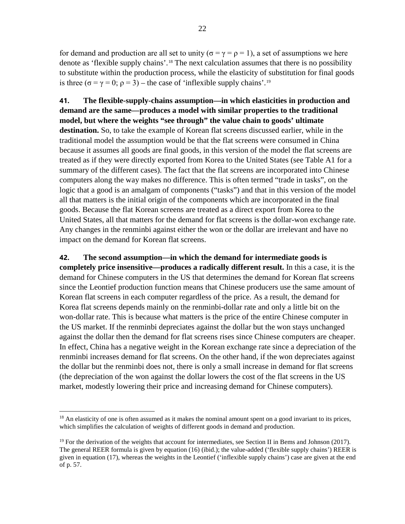for demand and production are all set to unity ( $\sigma = \gamma = \rho = 1$ ), a set of assumptions we here denote as 'flexible supply chains'.[18](#page-21-0) The next calculation assumes that there is no possibility to substitute within the production process, while the elasticity of substitution for final goods is three ( $\sigma = \gamma = 0$ ;  $\rho = 3$ ) – the case of 'inflexible supply chains'.<sup>[19](#page-21-1)</sup>

**41. The flexible-supply-chains assumption—in which elasticities in production and demand are the same—produces a model with similar properties to the traditional model, but where the weights "see through" the value chain to goods' ultimate destination.** So, to take the example of Korean flat screens discussed earlier, while in the traditional model the assumption would be that the flat screens were consumed in China because it assumes all goods are final goods, in this version of the model the flat screens are treated as if they were directly exported from Korea to the United States (see Table A1 for a summary of the different cases). The fact that the flat screens are incorporated into Chinese computers along the way makes no difference. This is often termed "trade in tasks", on the logic that a good is an amalgam of components ("tasks") and that in this version of the model all that matters is the initial origin of the components which are incorporated in the final goods. Because the flat Korean screens are treated as a direct export from Korea to the United States, all that matters for the demand for flat screens is the dollar-won exchange rate. Any changes in the renminbi against either the won or the dollar are irrelevant and have no impact on the demand for Korean flat screens.

**42. The second assumption—in which the demand for intermediate goods is completely price insensitive—produces a radically different result.** In this a case, it is the demand for Chinese computers in the US that determines the demand for Korean flat screens since the Leontief production function means that Chinese producers use the same amount of Korean flat screens in each computer regardless of the price. As a result, the demand for Korea flat screens depends mainly on the renminbi-dollar rate and only a little bit on the won-dollar rate. This is because what matters is the price of the entire Chinese computer in the US market. If the renminbi depreciates against the dollar but the won stays unchanged against the dollar then the demand for flat screens rises since Chinese computers are cheaper. In effect, China has a negative weight in the Korean exchange rate since a depreciation of the renminbi increases demand for flat screens. On the other hand, if the won depreciates against the dollar but the renminbi does not, there is only a small increase in demand for flat screens (the depreciation of the won against the dollar lowers the cost of the flat screens in the US market, modestly lowering their price and increasing demand for Chinese computers).

<span id="page-21-0"></span> $18$  An elasticity of one is often assumed as it makes the nominal amount spent on a good invariant to its prices, which simplifies the calculation of weights of different goods in demand and production.

<span id="page-21-1"></span><sup>&</sup>lt;sup>19</sup> For the derivation of the weights that account for intermediates, see Section II in Bems and Johnson (2017). The general REER formula is given by equation (16) (ibid.); the value-added ('flexible supply chains') REER is given in equation (17), whereas the weights in the Leontief ('inflexible supply chains') case are given at the end of p. 57.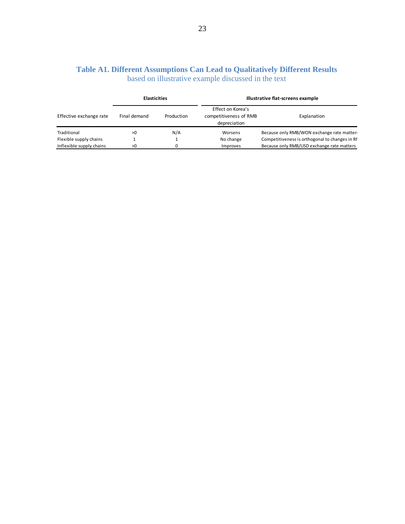|  | Table A1. Different Assumptions Can Lead to Qualitatively Different Results |  |  |  |
|--|-----------------------------------------------------------------------------|--|--|--|
|  | based on illustrative example discussed in the text                         |  |  |  |

| <b>Elasticities</b>      |              | Illustrative flat-screens example |                                                             |                                                |
|--------------------------|--------------|-----------------------------------|-------------------------------------------------------------|------------------------------------------------|
| Effective exchange rate  | Final demand | Production                        | Effect on Korea's<br>competitiveness of RMB<br>depreciation | Explanation                                    |
| Traditional              | >0           | N/A                               | Worsens                                                     | Because only RMB/WON exchange rate matter.     |
| Flexible supply chains   |              |                                   | No change                                                   | Competitiveness is orthogonal to changes in RI |
| Inflexible supply chains | >0           |                                   | Improves                                                    | Because only RMB/USD exchange rate matters     |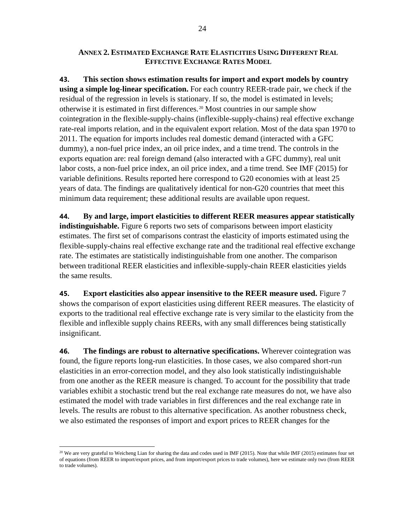#### **ANNEX 2. ESTIMATED EXCHANGE RATE ELASTICITIES USING DIFFERENT REAL EFFECTIVE EXCHANGE RATES MODEL**

**43. This section shows estimation results for import and export models by country using a simple log-linear specification.** For each country REER-trade pair, we check if the residual of the regression in levels is stationary. If so, the model is estimated in levels; otherwise it is estimated in first differences.[20](#page-23-0) Most countries in our sample show cointegration in the flexible-supply-chains (inflexible-supply-chains) real effective exchange rate-real imports relation, and in the equivalent export relation. Most of the data span 1970 to 2011. The equation for imports includes real domestic demand (interacted with a GFC dummy), a non-fuel price index, an oil price index, and a time trend. The controls in the exports equation are: real foreign demand (also interacted with a GFC dummy), real unit labor costs, a non-fuel price index, an oil price index, and a time trend. See IMF (2015) for variable definitions. Results reported here correspond to G20 economies with at least 25 years of data. The findings are qualitatively identical for non-G20 countries that meet this minimum data requirement; these additional results are available upon request.

**44. By and large, import elasticities to different REER measures appear statistically indistinguishable.** Figure 6 reports two sets of comparisons between import elasticity estimates. The first set of comparisons contrast the elasticity of imports estimated using the flexible-supply-chains real effective exchange rate and the traditional real effective exchange rate. The estimates are statistically indistinguishable from one another. The comparison between traditional REER elasticities and inflexible-supply-chain REER elasticities yields the same results.

**45. Export elasticities also appear insensitive to the REER measure used.** Figure 7 shows the comparison of export elasticities using different REER measures. The elasticity of exports to the traditional real effective exchange rate is very similar to the elasticity from the flexible and inflexible supply chains REERs, with any small differences being statistically insignificant.

**46. The findings are robust to alternative specifications.** Wherever cointegration was found, the figure reports long-run elasticities. In those cases, we also compared short-run elasticities in an error-correction model, and they also look statistically indistinguishable from one another as the REER measure is changed. To account for the possibility that trade variables exhibit a stochastic trend but the real exchange rate measures do not, we have also estimated the model with trade variables in first differences and the real exchange rate in levels. The results are robust to this alternative specification. As another robustness check, we also estimated the responses of import and export prices to REER changes for the

<span id="page-23-0"></span><sup>&</sup>lt;sup>20</sup> We are very grateful to Weicheng Lian for sharing the data and codes used in IMF (2015). Note that while IMF (2015) estimates four set of equations (from REER to import/export prices, and from import/export prices to trade volumes), here we estimate only two (from REER to trade volumes).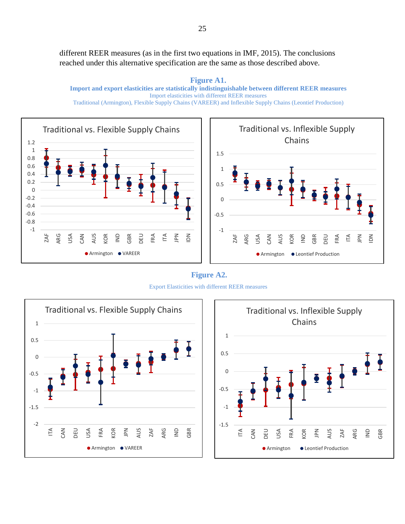different REER measures (as in the first two equations in IMF, 2015). The conclusions reached under this alternative specification are the same as those described above.

**Figure A1. Import and export elasticities are statistically indistinguishable between different REER measures** Import elasticities with different REER measures Traditional (Armington), Flexible Supply Chains (VAREER) and Inflexible Supply Chains (Leontief Production)



**Figure A2.** Export Elasticities with different REER measures





 $\leq$  $\leq$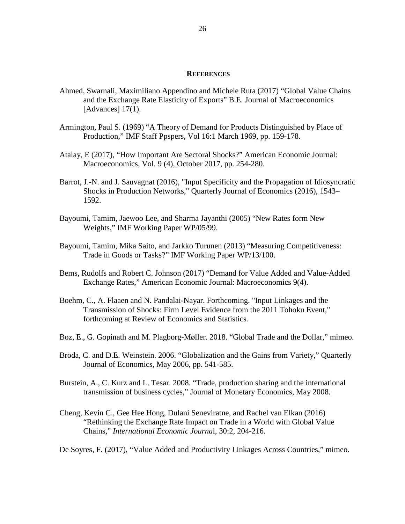#### **REFERENCES**

- Ahmed, Swarnali, Maximiliano Appendino and Michele Ruta (2017) "Global Value Chains and the Exchange Rate Elasticity of Exports" B.E. Journal of Macroeconomics [Advances] 17(1).
- Armington, Paul S. (1969) "A Theory of Demand for Products Distinguished by Place of Production," IMF Staff Ppspers, Vol 16:1 March 1969, pp. 159-178.
- Atalay, E (2017), "How Important Are Sectoral Shocks?" American Economic Journal: Macroeconomics, Vol. 9 (4), October 2017, pp. 254-280.
- Barrot, J.-N. and J. Sauvagnat (2016), "Input Specificity and the Propagation of Idiosyncratic Shocks in Production Networks," Quarterly Journal of Economics (2016), 1543– 1592.
- Bayoumi, Tamim, Jaewoo Lee, and Sharma Jayanthi (2005) "New Rates form New Weights," IMF Working Paper WP/05/99.
- Bayoumi, Tamim, Mika Saito, and Jarkko Turunen (2013) "Measuring Competitiveness: Trade in Goods or Tasks?" IMF Working Paper WP/13/100.
- Bems, Rudolfs and Robert C. Johnson (2017) "Demand for Value Added and Value-Added Exchange Rates," American Economic Journal: Macroeconomics 9(4).
- Boehm, C., A. Flaaen and N. Pandalai-Nayar. Forthcoming. "Input Linkages and the Transmission of Shocks: Firm Level Evidence from the 2011 Tohoku Event," forthcoming at Review of Economics and Statistics.
- Boz, E., G. Gopinath and M. Plagborg-Møller. 2018. "Global Trade and the Dollar," mimeo.
- Broda, C. and D.E. Weinstein. 2006. "Globalization and the Gains from Variety," Quarterly Journal of Economics, May 2006, pp. 541-585.
- Burstein, A., C. Kurz and L. Tesar. 2008. "Trade, production sharing and the international transmission of business cycles," Journal of Monetary Economics, May 2008.
- Cheng, Kevin C., Gee Hee Hong, Dulani Seneviratne, and Rachel van Elkan (2016) "Rethinking the Exchange Rate Impact on Trade in a World with Global Value Chains," *International Economic Journa*l, 30:2, 204-216.

De Soyres, F. (2017), "Value Added and Productivity Linkages Across Countries," mimeo.